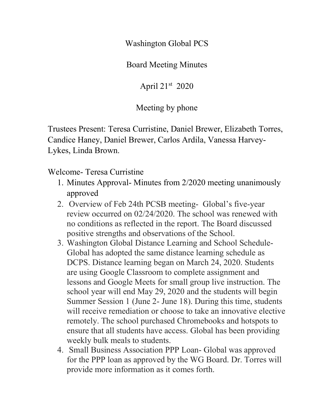Washington Global PCS

Board Meeting Minutes

April 21st 2020

Meeting by phone

Trustees Present: Teresa Curristine, Daniel Brewer, Elizabeth Torres, Candice Haney, Daniel Brewer, Carlos Ardila, Vanessa Harvey-Lykes, Linda Brown.

Welcome- Teresa Curristine

- 1. Minutes Approval- Minutes from 2/2020 meeting unanimously approved
- 2. Overview of Feb 24th PCSB meeting- Global's five-year review occurred on 02/24/2020. The school was renewed with no conditions as reflected in the report. The Board discussed positive strengths and observations of the School.
- 3. Washington Global Distance Learning and School Schedule-Global has adopted the same distance learning schedule as DCPS. Distance learning began on March 24, 2020. Students are using Google Classroom to complete assignment and lessons and Google Meets for small group live instruction. The school year will end May 29, 2020 and the students will begin Summer Session 1 (June 2- June 18). During this time, students will receive remediation or choose to take an innovative elective remotely. The school purchased Chromebooks and hotspots to ensure that all students have access. Global has been providing weekly bulk meals to students.
- 4. Small Business Association PPP Loan- Global was approved for the PPP loan as approved by the WG Board. Dr. Torres will provide more information as it comes forth.